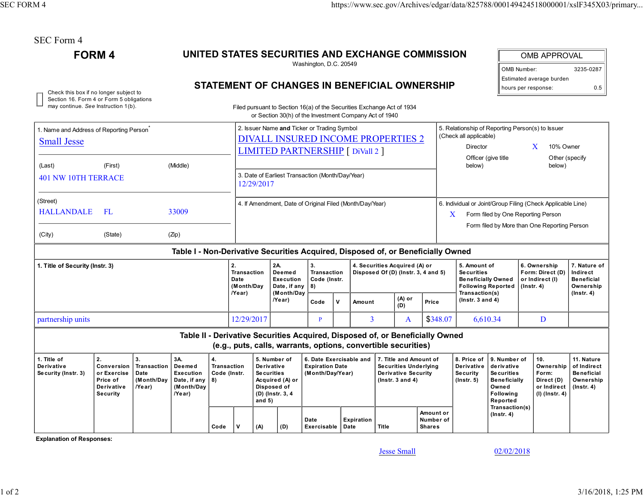| SEC Form 4 |  |
|------------|--|
|------------|--|

FORM 4

## UNITED STATES SECURITIES AND EXCHANGE COMMISSION

Washington, D.C. 20549

| OMB APPROVAL             |     |  |  |  |  |  |  |
|--------------------------|-----|--|--|--|--|--|--|
| 3235-0287<br>OMB Number: |     |  |  |  |  |  |  |
| Estimated average burden |     |  |  |  |  |  |  |
| hours per response:      | 0.5 |  |  |  |  |  |  |

## Check this box if no longer subject to **STATEMENT OF CHANGES IN BENEFICIAL OWNERSHIP** bours per response: 0.5

| Section 16. Form 4 or Form 5 obligations<br>may continue. See Instruction 1(b). |                                                                                                                                                                                                                            |  |                                                                                  |                                                                        |                                                                                                                                                                                                                    |                                                                                                                              |                                                                                                                           | Filed pursuant to Section 16(a) of the Securities Exchange Act of 1934<br>or Section 30(h) of the Investment Company Act of 1940                |                                                                      |              |                                                                                                                |                                                                                             |                                                                    |                                                                                                                                                                        |                                                     |                                                                          |                                                                                 |                  |
|---------------------------------------------------------------------------------|----------------------------------------------------------------------------------------------------------------------------------------------------------------------------------------------------------------------------|--|----------------------------------------------------------------------------------|------------------------------------------------------------------------|--------------------------------------------------------------------------------------------------------------------------------------------------------------------------------------------------------------------|------------------------------------------------------------------------------------------------------------------------------|---------------------------------------------------------------------------------------------------------------------------|-------------------------------------------------------------------------------------------------------------------------------------------------|----------------------------------------------------------------------|--------------|----------------------------------------------------------------------------------------------------------------|---------------------------------------------------------------------------------------------|--------------------------------------------------------------------|------------------------------------------------------------------------------------------------------------------------------------------------------------------------|-----------------------------------------------------|--------------------------------------------------------------------------|---------------------------------------------------------------------------------|------------------|
| 1. Name and Address of Reporting Person <sup>®</sup><br><b>Small Jesse</b>      |                                                                                                                                                                                                                            |  |                                                                                  |                                                                        |                                                                                                                                                                                                                    | 2. Issuer Name and Ticker or Trading Symbol<br>DIVALL INSURED INCOME PROPERTIES 2<br><b>LIMITED PARTNERSHIP</b> [ DiVall 2 ] |                                                                                                                           |                                                                                                                                                 |                                                                      |              |                                                                                                                |                                                                                             |                                                                    | 5. Relationship of Reporting Person(s) to Issuer<br>(Check all applicable)<br>X<br>10% Owner<br>Director<br>Other (specify<br>Officer (give title)<br>below)<br>below) |                                                     |                                                                          |                                                                                 |                  |
| (Middle)<br>(First)<br>(Last)<br><b>401 NW 10TH TERRACE</b>                     |                                                                                                                                                                                                                            |  |                                                                                  |                                                                        | 3. Date of Earliest Transaction (Month/Day/Year)<br>12/29/2017                                                                                                                                                     |                                                                                                                              |                                                                                                                           |                                                                                                                                                 |                                                                      |              |                                                                                                                |                                                                                             |                                                                    |                                                                                                                                                                        |                                                     |                                                                          |                                                                                 |                  |
| (Street)<br><b>HALLANDALE</b><br>(City)                                         | FL<br>(State)                                                                                                                                                                                                              |  | 33009<br>(Zip)                                                                   |                                                                        | 4. If Amendment, Date of Original Filed (Month/Day/Year)<br>6. Individual or Joint/Group Filing (Check Applicable Line)<br>Form filed by One Reporting Person<br>X<br>Form filed by More than One Reporting Person |                                                                                                                              |                                                                                                                           |                                                                                                                                                 |                                                                      |              |                                                                                                                |                                                                                             |                                                                    |                                                                                                                                                                        |                                                     |                                                                          |                                                                                 |                  |
|                                                                                 |                                                                                                                                                                                                                            |  | Table I - Non-Derivative Securities Acquired, Disposed of, or Beneficially Owned |                                                                        |                                                                                                                                                                                                                    |                                                                                                                              |                                                                                                                           |                                                                                                                                                 |                                                                      |              |                                                                                                                |                                                                                             |                                                                    |                                                                                                                                                                        |                                                     |                                                                          |                                                                                 |                  |
| 1. Title of Security (Instr. 3)                                                 |                                                                                                                                                                                                                            |  |                                                                                  | 2.<br><b>Transaction</b><br>Date<br>(Month/Day                         |                                                                                                                                                                                                                    | 2A.<br>Deemed<br><b>Execution</b><br>Date, if any<br>(Month/Day                                                              | 3.<br><b>Transaction</b><br>Code (Instr.<br>8)                                                                            |                                                                                                                                                 | 4. Securities Acquired (A) or<br>Disposed Of (D) (Instr. 3, 4 and 5) |              |                                                                                                                | 5. Amount of<br><b>Securities</b><br><b>Beneficially Owned</b><br><b>Following Reported</b> |                                                                    | (Instr. 4)                                                                                                                                                             | 6. Ownership<br>Form: Direct (D)<br>or Indirect (I) | 7. Nature of<br>Indirect<br><b>Beneficial</b><br>Ownership               |                                                                                 |                  |
|                                                                                 |                                                                                                                                                                                                                            |  |                                                                                  |                                                                        | /Year)                                                                                                                                                                                                             |                                                                                                                              | /Year)                                                                                                                    | Code                                                                                                                                            | $\mathbf v$                                                          | Amount       |                                                                                                                | (A) or<br>(D)                                                                               | Price                                                              | Transaction(s)<br>$($ lnstr. 3 and 4 $)$                                                                                                                               |                                                     |                                                                          |                                                                                 | $($ Instr. 4 $)$ |
| partnership units                                                               |                                                                                                                                                                                                                            |  |                                                                                  |                                                                        | 12/29/2017                                                                                                                                                                                                         |                                                                                                                              |                                                                                                                           | P                                                                                                                                               |                                                                      | 3            |                                                                                                                | A                                                                                           | \$348.07                                                           |                                                                                                                                                                        | 6,610.34<br>D                                       |                                                                          |                                                                                 |                  |
|                                                                                 |                                                                                                                                                                                                                            |  |                                                                                  |                                                                        |                                                                                                                                                                                                                    |                                                                                                                              |                                                                                                                           | Table II - Derivative Securities Acquired, Disposed of, or Beneficially Owned<br>(e.g., puts, calls, warrants, options, convertible securities) |                                                                      |              |                                                                                                                |                                                                                             |                                                                    |                                                                                                                                                                        |                                                     |                                                                          |                                                                                 |                  |
| 1. Title of<br>Derivative<br>Security (Instr. 3)                                | 2.<br>3A.<br>3.<br>4.<br>Transaction<br>Deemed<br><b>Conversion</b><br>Date<br>Execution<br>or Exercise<br>Date, if any<br>8)<br>Price of<br>(Month/Day<br>Derivative<br>(Month/Day<br>/Year)<br><b>Security</b><br>/Year) |  | <b>Transaction</b><br>Code (Instr.<br>Code                                       | Derivative<br><b>Securities</b><br>Disposed of<br>and $5)$<br>v<br>(A) |                                                                                                                                                                                                                    | 5. Number of<br>Acquired (A) or<br>(D) (Instr. 3, 4<br>(D)                                                                   | 6. Date Exercisable and<br><b>Expiration Date</b><br>(Month/Day/Year)<br>Date<br><b>Expiration</b><br>Exercisable<br>Date |                                                                                                                                                 |                                                                      | <b>Title</b> | 7. Title and Amount of<br><b>Securities Underlying</b><br><b>Derivative Security</b><br>$($ lnstr. 3 and 4 $)$ | Amount or<br>Number of<br><b>Shares</b>                                                     | 8. Price of<br><b>Derivative</b><br><b>Security</b><br>(Insert. 5) | 9. Number of<br>derivative<br><b>Securities</b><br><b>Beneficially</b><br>Owned<br><b>Following</b><br>Reported<br>Transaction(s)<br>$($ lnstr. 4 $)$                  |                                                     | 10.<br>Ownership<br>Form:<br>Direct (D)<br>or Indirect<br>(I) (Instr. 4) | 11. Nature<br>of Indirect<br><b>Beneficial</b><br>Ownership<br>$($ lnstr. 4 $)$ |                  |

Explanation of Responses:

Jesse Small

02/02/2018